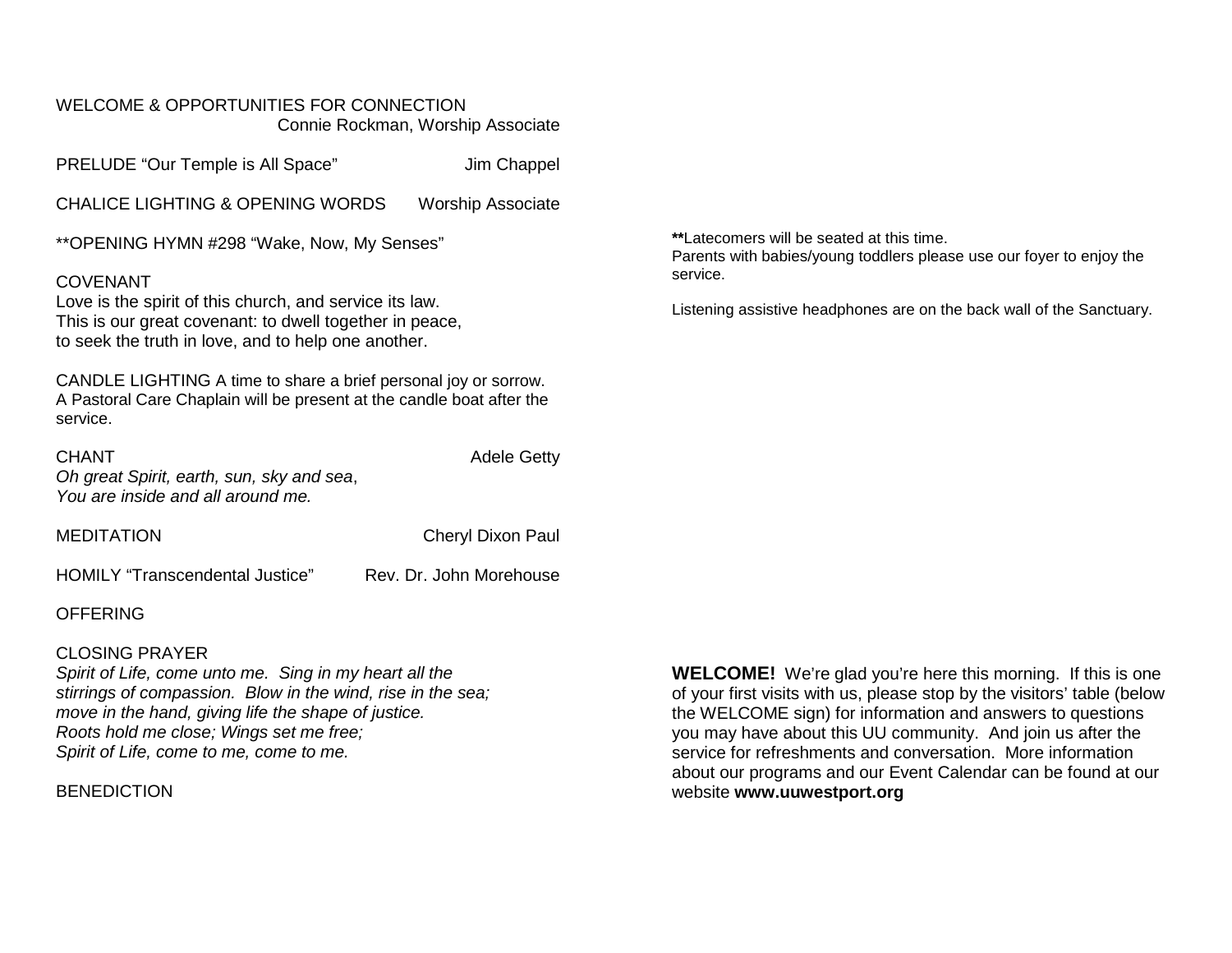#### WELCOME & OPPORTUNITIES FOR CONNECTION Connie Rockman, Worship Associate

PRELUDE "Our Temple is All Space" Jim Chappel

CHALICE LIGHTING & OPENING WORDS Worship Associate

\*\*OPENING HYMN #298 "Wake, Now, My Senses"

### COVENANT

Love is the spirit of this church, and service its law. This is our great covenant: to dwell together in peace, to seek the truth in love, and to help one another.

CANDLE LIGHTING A time to share a brief personal joy or sorrow. A Pastoral Care Chaplain will be present at the candle boat after the service.

CHANT CHANT CHANT

*Oh great Spirit, earth, sun, sky and sea*, *You are inside and all around me.*

MEDITATION Cheryl Dixon Paul

HOMILY "Transcendental Justice" Rev. Dr. John Morehouse

### **OFFERING**

### CLOSING PRAYER

*Spirit of Life, come unto me. Sing in my heart all the stirrings of compassion. Blow in the wind, rise in the sea; move in the hand, giving life the shape of justice. Roots hold me close; Wings set me free; Spirit of Life, come to me, come to me.*

**BENEDICTION** 

**WELCOME!** We're glad you're here this morning. If this is one of your first visits with us, please stop by the visitors' table (below the WELCOME sign) for information and answers to questions you may have about this UU community. And join us after the service for refreshments and conversation. More information about our programs and our Event Calendar can be found at our website **[www.uuwestport.org](http://www.uuwestport.org/)**

**\*\***Latecomers will be seated at this time.

Parents with babies/young toddlers please use our foyer to enjoy the service.

Listening assistive headphones are on the back wall of the Sanctuary.